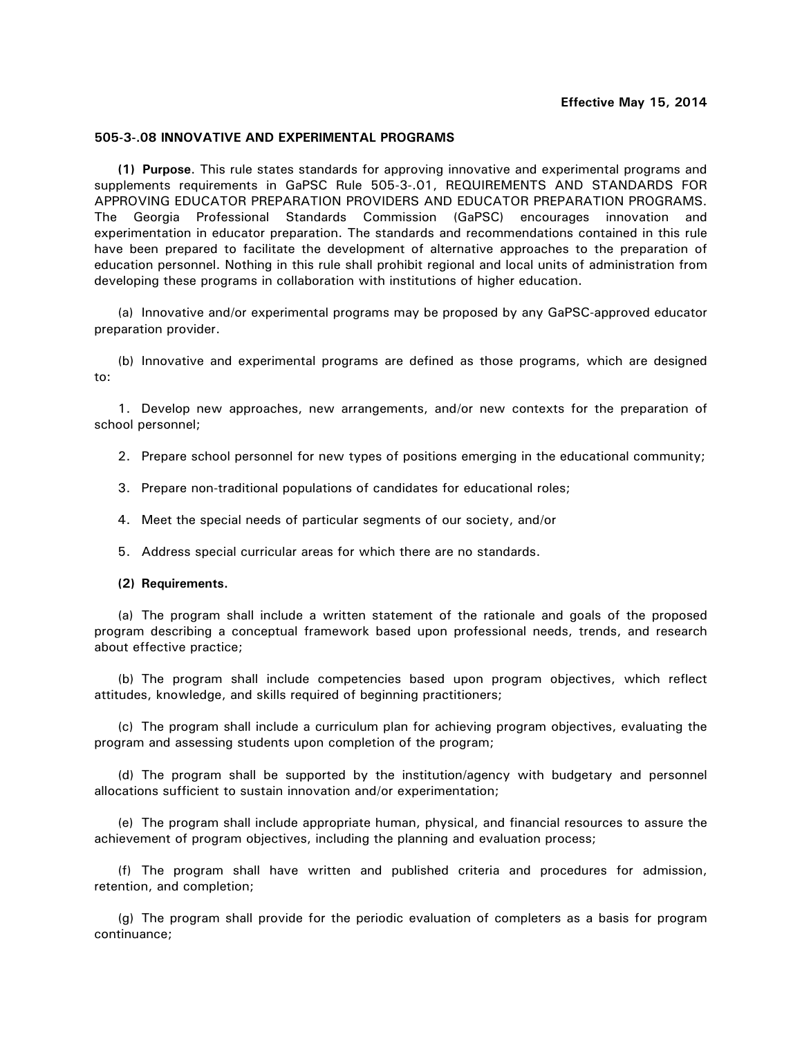## **505-3-.08 INNOVATIVE AND EXPERIMENTAL PROGRAMS**

**(1) Purpose**. This rule states standards for approving innovative and experimental programs and supplements requirements in GaPSC Rule 505-3-.01, REQUIREMENTS AND STANDARDS FOR APPROVING EDUCATOR PREPARATION PROVIDERS AND EDUCATOR PREPARATION PROGRAMS. The Georgia Professional Standards Commission (GaPSC) encourages innovation and experimentation in educator preparation. The standards and recommendations contained in this rule have been prepared to facilitate the development of alternative approaches to the preparation of education personnel. Nothing in this rule shall prohibit regional and local units of administration from developing these programs in collaboration with institutions of higher education.

(a) Innovative and/or experimental programs may be proposed by any GaPSC-approved educator preparation provider.

(b) Innovative and experimental programs are defined as those programs, which are designed to:

1. Develop new approaches, new arrangements, and/or new contexts for the preparation of school personnel;

2. Prepare school personnel for new types of positions emerging in the educational community;

- 3. Prepare non-traditional populations of candidates for educational roles;
- 4. Meet the special needs of particular segments of our society, and/or
- 5. Address special curricular areas for which there are no standards.
- **(2) Requirements.**

 (a) The program shall include a written statement of the rationale and goals of the proposed program describing a conceptual framework based upon professional needs, trends, and research about effective practice;

 (b) The program shall include competencies based upon program objectives, which reflect attitudes, knowledge, and skills required of beginning practitioners;

 (c) The program shall include a curriculum plan for achieving program objectives, evaluating the program and assessing students upon completion of the program;

 (d) The program shall be supported by the institution/agency with budgetary and personnel allocations sufficient to sustain innovation and/or experimentation;

 (e) The program shall include appropriate human, physical, and financial resources to assure the achievement of program objectives, including the planning and evaluation process;

 (f) The program shall have written and published criteria and procedures for admission, retention, and completion;

 (g) The program shall provide for the periodic evaluation of completers as a basis for program continuance;